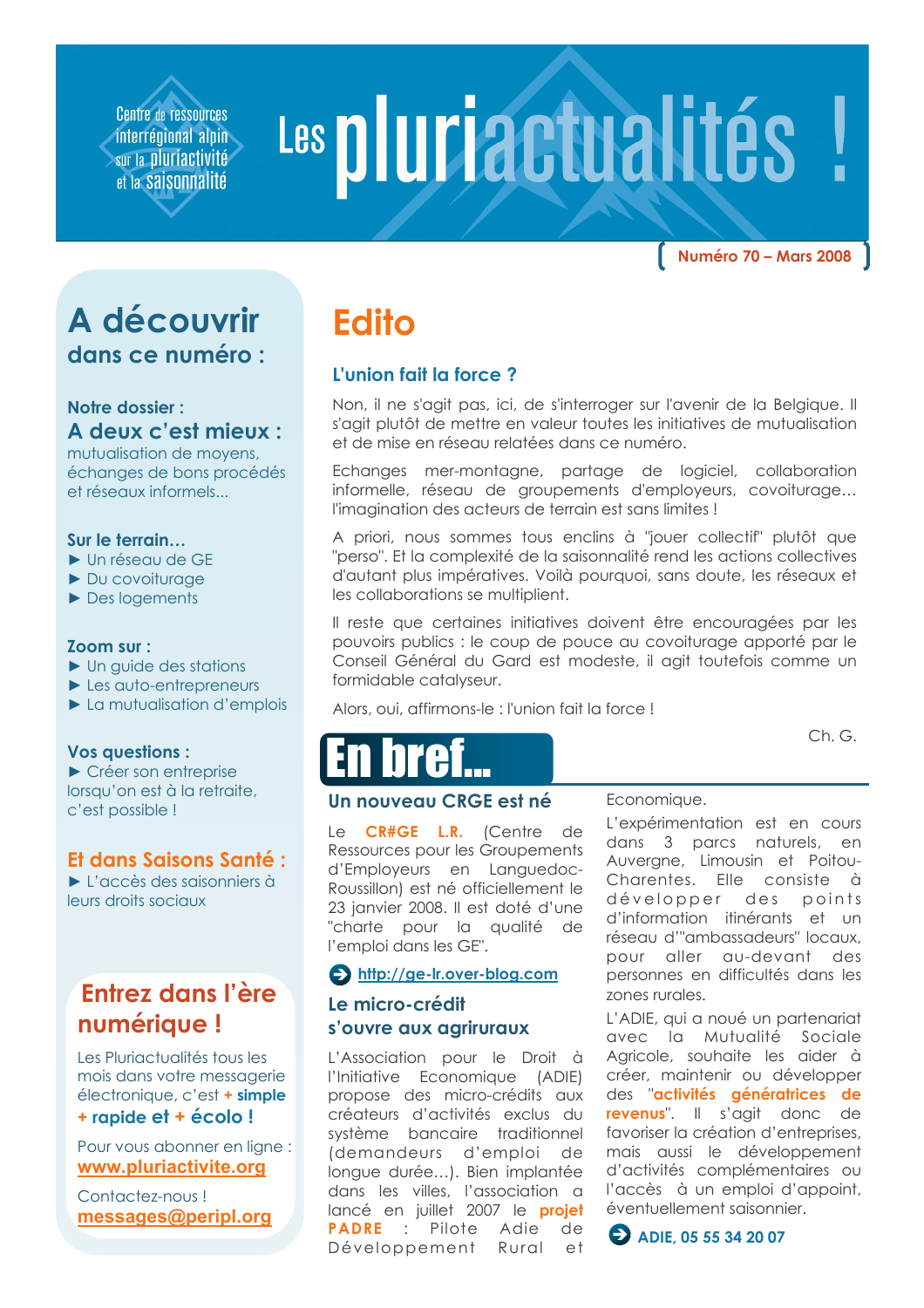**Centre de ressources** interrégional alpin sur la pluriactivité et la Saisonnalité

# Les pluriactualités

**Numéro 70 - Mars 2008** 

# A découvrir dans ce numéro :

#### Notre dossier : A deux c'est mieux :

mutualisation de movens. échanges de bons procédés et réseaux informels...

#### Sur le terrain...

- Un réseau de GE
- $\blacktriangleright$  Du covoiturage
- $\blacktriangleright$  Des logements

#### Zoom sur :

- $\blacktriangleright$  Un guide des stations
- $\blacktriangleright$  Les auto-entrepreneurs
- La mutualisation d'emplois

#### **Vos questions:**

 $\blacktriangleright$  Créer son entreprise lorsqu'on est à la retraite, c'est possible !

#### Et dans Saisons Santé :

 $\blacktriangleright$  L'accès des saisonniers à leurs droits sociaux

## Entrez dans l'ère numérique!

Les Pluriactualités tous les mois dans votre messagerie électronique, c'est + simple

#### + rapide et + écolo!

Pour vous abonner en ligne : www.pluriactivite.org

Contactez-nous! messages@peripl.org

# **Edito**

#### L'union fait la force?

Non, il ne s'agit pas, ici, de s'interroger sur l'avenir de la Belgique. Il s'agit plutôt de mettre en valeur toutes les initiatives de mutualisation et de mise en réseau relatées dans ce numéro.

Echanges mer-montagne, partage de logiciel, collaboration informelle, réseau de groupements d'employeurs, covoiturage... l'imagination des acteurs de terrain est sans limites!

A priori, nous sommes tous enclins à "jouer collectif" plutôt que "perso". Et la complexité de la saisonnalité rend les actions collectives d'autant plus impératives. Voilà pourquoi, sans doute, les réseaux et les collaborations se multiplient.

Il reste que certaines initiatives doivent être encouragées par les pouvoirs publics : le coup de pouce au covoiturage apporté par le Conseil Général du Gard est modeste, il agit toutefois comme un formidable catalyseur.

Alors, oui, affirmons-le : l'union fait la force!

 $Ch.G.$ 

#### Un nouveau CRGE est né

Le CR#GE L.R. (Centre de Ressources pour les Groupements d'Employeurs en Languedoc-Roussillon) est né officiellement le 23 janvier 2008. Il est doté d'une "charte pour la qualité de l'emploi dans les GE".

#### http://ge-lr.over-blog.com

#### Le micro-crédit s'ouvre aux agriruraux

L'Association pour le Droit à l'Initiative Economique (ADIE) propose des micro-crédits aux créateurs d'activités exclus du système bancaire traditionnel (demandeurs d'emploi de lonque durée...). Bien implantée dans les villes, l'association a lancé en juillet 2007 le projet **PADRE** : Pilote Adie de Développement Rural et

Economique.

L'expérimentation est en cours dans 3 parcs naturels, en Auvergne, Limousin et Poitou-Charentes. Elle consiste à développer des points d'information itinérants et un réseau d'"ambassadeurs" locaux, pour aller au-devant des personnes en difficultés dans les zones rurales.

L'ADIE, qui a noué un partenariat avec la Mutualité Sociale Agricole, souhaite les aider à créer, maintenir ou développer des "activités aénératrices de revenus". Il s'agit donc de favoriser la création d'entreprises, mais aussi le développement d'activités complémentaires ou l'accès à un emploi d'appoint, éventuellement saisonnier.

**E** ADIE, 05 55 34 20 07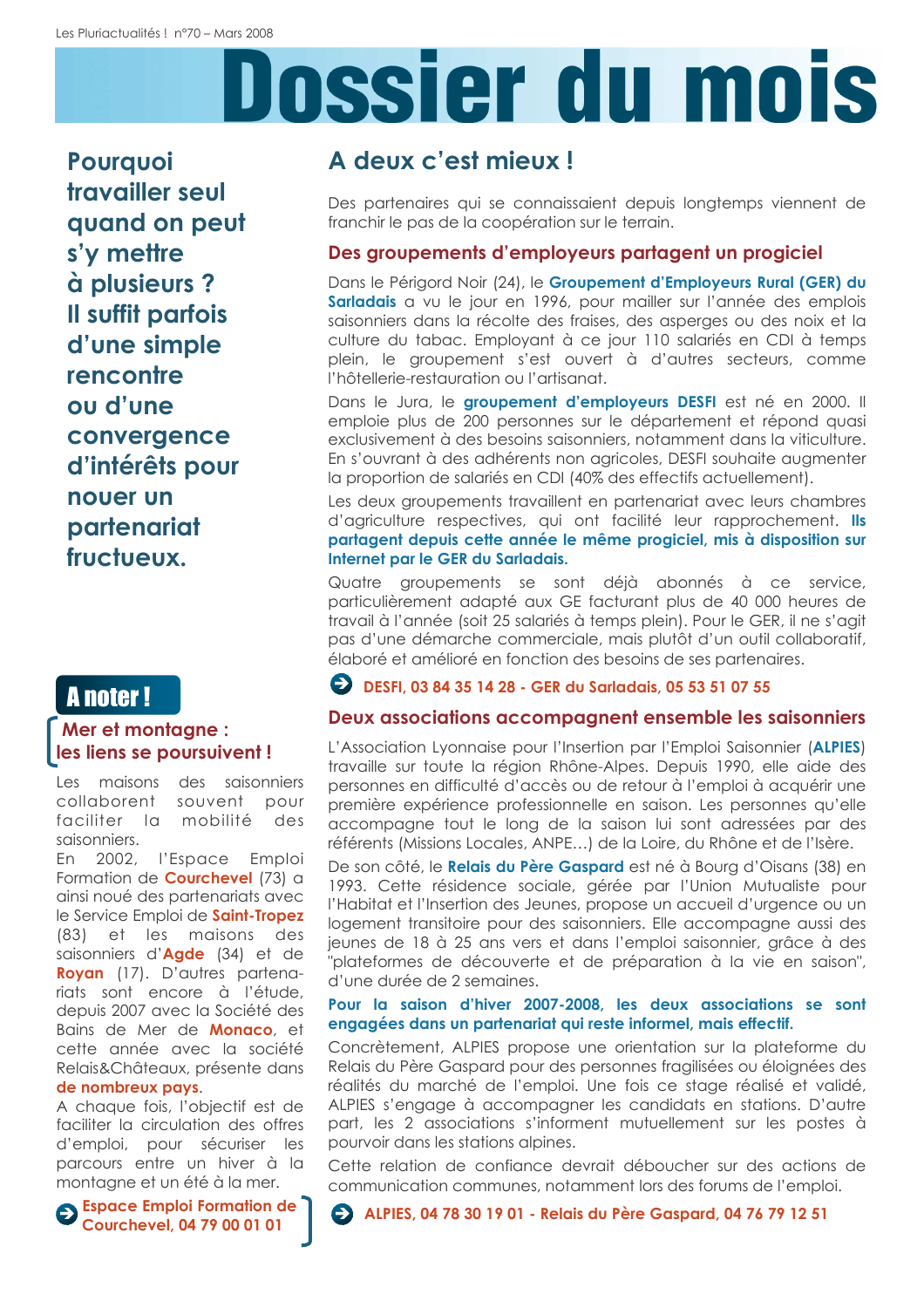# Dossier du mois

**Pourauoi** travailler seul quand on peut s'y mettre à plusieurs ? Il suffit parfois d'une simple rencontre ou d'une convergence d'intérêts pour nouer un partenariat fructueux

### **Anoter!**

#### Mer et montagne : les liens se poursuivent !

Les maisons des saisonniers pour collaborent souvent faciliter la mobilité des saisonniers.

En 2002, l'Espace Emploi Formation de **Courchevel** (73) a ainsi noué des partenariats avec le Service Emploi de Saint-Tropez  $(83)$ et les maisons des saisonniers d'**Agde** (34) et de Royan (17). D'autres partenariats sont encore à l'étude, depuis 2007 avec la Société des Bains de Mer de Monaco, et cette année avec la société Relais&Châteaux, présente dans de nombreux pays.

A chaque fois, l'objectif est de faciliter la circulation des offres d'emploi, pour sécuriser les parcours entre un hiver à la montagne et un été à la mer.

**S** Espace Emploi Formation de Courchevel, 04 79 00 01 01

### A deux c'est mieux !

Des partenaires aui se connaissaient depuis longtemps viennent de franchir le pas de la coopération sur le terrain.

#### Des groupements d'employeurs partagent un progiciel

Dans le Périgord Noir (24), le Groupement d'Employeurs Rural (GER) du Sarladais a vu le jour en 1996, pour mailler sur l'année des emplois saisonniers dans la récolte des fraises, des asperaes ou des noix et la culture du tabac. Employant à ce jour 110 salariés en CDI à temps plein, le groupement s'est ouvert à d'autres secteurs, comme l'hôtellerie-restauration ou l'artisanat.

Dans le Jura, le groupement d'employeurs DESFI est né en 2000. Il emploie plus de 200 personnes sur le département et répond quasi exclusivement à des besoins saisonniers, notamment dans la viticulture. En s'ouvrant à des adhérents non agricoles, DESFI souhaite augmenter la proportion de salariés en CDI (40% des effectifs actuellement).

Les deux groupements travaillent en partenariat avec leurs chambres d'agriculture respectives, qui ont facilité leur rapprochement. Ils partagent depuis cette année le même progiciel, mis à disposition sur Internet par le GER du Sarladais.

Quatre groupements se sont déjà abonnés à ce service, particulièrement adapté aux GE facturant plus de 40 000 heures de travail à l'année (soit 25 salariés à temps plein). Pour le GER, il ne s'agit pas d'une démarche commerciale, mais plutôt d'un outil collaboratif, élaboré et amélioré en fonction des besoins de ses partenaires.

#### **DESFI, 03 84 35 14 28 - GER du Sarladais, 05 53 51 07 55**

#### Deux associations accompagnent ensemble les saisonniers

L'Association Lyonnaise pour l'Insertion par l'Emploi Saisonnier (ALPIES) travaille sur toute la région Rhône-Alpes. Depuis 1990, elle aide des personnes en difficulté d'accès ou de retour à l'emploi à acquérir une première expérience professionnelle en saison. Les personnes qu'elle accompagne tout le long de la saison lui sont adressées par des référents (Missions Locales, ANPE...) de la Loire, du Rhône et de l'Isère.

De son côté, le **Relais du Père Gaspard** est né à Bourg d'Oisans (38) en 1993. Cette résidence sociale, gérée par l'Union Mutualiste pour l'Habitat et l'Insertion des Jeunes, propose un accueil d'urgence ou un logement transitoire pour des saisonniers. Elle accompagne aussi des jeunes de 18 à 25 ans vers et dans l'emploi saisonnier, grâce à des "plateformes de découverte et de préparation à la vie en saison", d'une durée de 2 semaines.

#### Pour la saison d'hiver 2007-2008, les deux associations se sont engagées dans un partenariat qui reste informel, mais effectif.

Concrètement, ALPIES propose une orientation sur la plateforme du Relais du Père Gaspard pour des personnes fragilisées ou éloignées des réalités du marché de l'emploi. Une fois ce stage réalisé et validé, ALPIES s'engage à accompagner les candidats en stations. D'autre part, les 2 associations s'informent mutuellement sur les postes à pourvoir dans les stations alpines.

Cette relation de confiance devrait déboucher sur des actions de communication communes, notamment lors des forums de l'emploi.

ALPIES, 04 78 30 19 01 - Relais du Père Gaspard, 04 76 79 12 51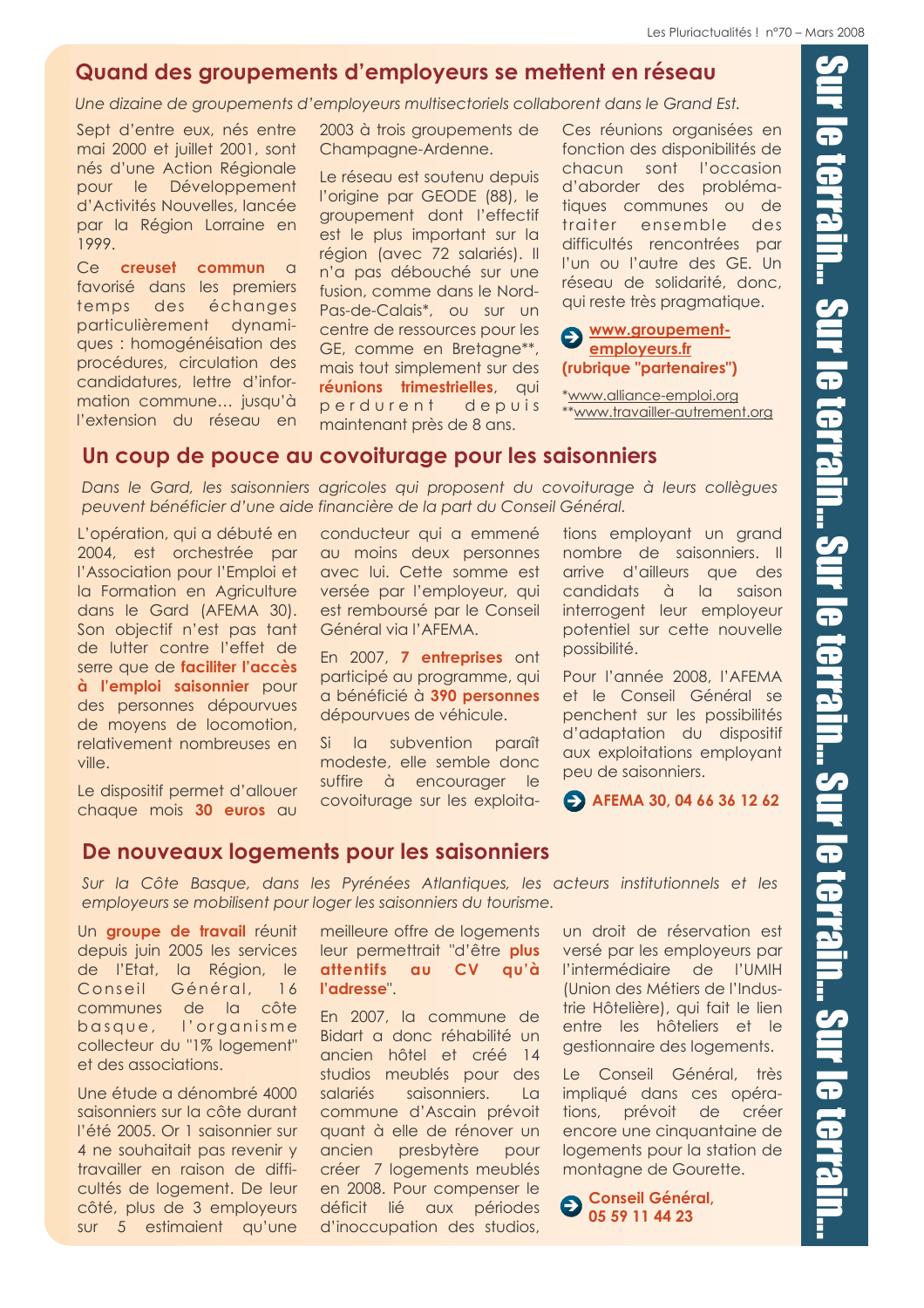#### Quand des groupements d'employeurs se mettent en réseau

Une dizaine de groupements d'employeurs multisectoriels collaborent dans le Grand Est.

Sept d'entre eux, nés entre mai 2000 et juillet 2001, sont nés d'une Action Régionale pour le Développement d'Activités Nouvelles, lancée par la Région Lorraine en 1999.

Ce creuset commun a favorisé dans les premiers temps des échanges particulièrement dynamiques : homogénéisation des procédures, circulation des candidatures, lettre d'information commune... jusqu'à l'extension du réseau en

2003 à trois aroupements de Champagne-Ardenne.

Le réseau est soutenu depuis l'origine par GEODE (88), le groupement dont l'effectif est le plus important sur la région (avec 72 salariés). Il n'a pas débouché sur une fusion, comme dans le Nord-Pas-de-Calais\*, ou sur un centre de ressources pour les GE, comme en Bretagne\*\*, mais tout simplement sur des réunions trimestrielles, qui perdurent depuis maintenant près de 8 ans.

Ces réunions organisées en fonction des disponibilités de chacun sont l'occasion d'aborder des problématiques communes ou de traiter ensemble des difficultés rencontrées par l'un ou l'autre des GE. Un réseau de solidarité, donc, qui reste très pragmatique.

#### Www.groupementemployeurs.fr (rubrique "partenaires")

\*www.alliance-emploi.org \*\*www.travailler-autrement.org

#### Un coup de pouce au covoiturage pour les saisonniers

Dans le Gard, les saisonniers agricoles qui proposent du covoiturage à leurs collègues peuvent bénéficier d'une aide financière de la part du Conseil Général.

L'opération, qui a débuté en 2004, est orchestrée par l'Association pour l'Emploi et la Formation en Agriculture dans le Gard (AFEMA 30). Son objectif n'est pas tant de lutter contre l'effet de serre que de faciliter l'accès à l'emploi saisonnier pour des personnes dépourvues de moyens de locomotion, relativement nombreuses en ville.

Le dispositif permet d'allouer chaque mois 30 euros au conducteur qui a emmené au moins deux personnes avec lui. Cette somme est versée par l'employeur, qui est remboursé par le Conseil Général via l'AFEMA.

En 2007, 7 entreprises ont participé au programme, qui a bénéficié à 390 personnes dépourvues de véhicule.

Si la subvention paraît modeste, elle semble donc suffire à encourager le covoiturage sur les exploitations employant un grand nombre de saisonniers. Il arrive d'ailleurs que des candidats à la saison interrogent leur employeur potentiel sur cette nouvelle possibilité.

Pour l'année 2008, l'AFEMA et le Conseil Général se penchent sur les possibilités d'adaptation du dispositif aux exploitations employant peu de saisonniers.

**EXAMPLE 20. 04 66 36 12 62** 

#### De nouveaux logements pour les saisonniers

Sur la Côte Basque, dans les Pyrénées Atlantiques, les acteurs institutionnels et les employeurs se mobilisent pour loger les saisonniers du tourisme.

Un groupe de travail réunit depuis juin 2005 les services de l'Etat, la Région, le Conseil Général,  $16$ communes de la côte basque, l'organisme collecteur du "1% logement" et des associations.

Une étude a dénombré 4000 saisonniers sur la côte durant l'été 2005. Or 1 saisonnier sur 4 ne souhaitait pas revenir y travailler en raison de difficultés de logement. De leur côté, plus de 3 employeurs sur 5 estimaient qu'une

#### meilleure offre de logements leur permettrait "d'être plus au CV qu'à **attentifs** l'adresse".

En 2007, la commune de Bidart a donc réhabilité un ancien hôtel et créé 14 studios meublés pour des salariés saisonniers.  $La$ commune d'Ascain prévoit quant à elle de rénover un ancien presbytère pour créer 7 logements meublés en 2008. Pour compenser le déficit lié aux périodes d'inoccupation des studios,

un droit de réservation est versé par les employeurs par l'intermédiaire de l'UMIH (Union des Métiers de l'Industrie Hôtelière), qui fait le lien entre les hôteliers et le gestionnaire des logements.

Le Conseil Général, très impliqué dans ces opérations, prévoit de créer encore une cinquantaine de logements pour la station de montagne de Gourette.

Conseil Général, 05 59 11 44 23